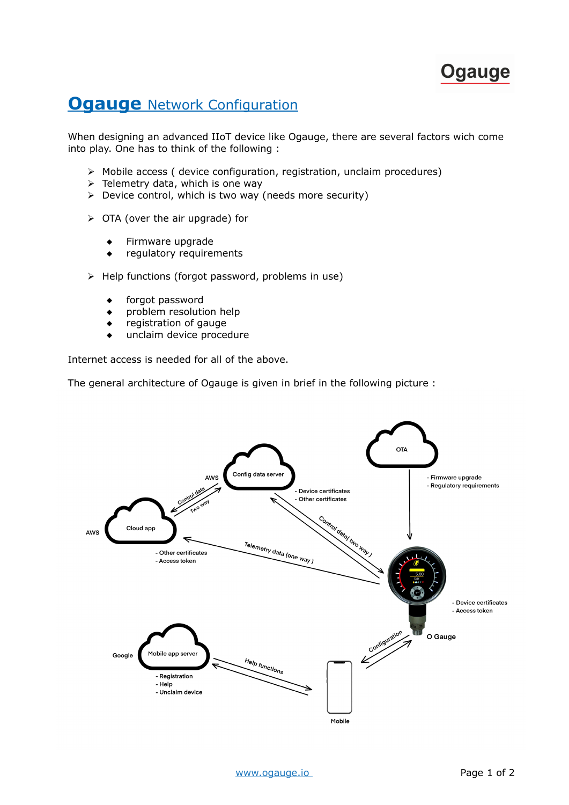## **Ogauge**

## **Ogauge** Network Configuration

When designing an advanced IIoT device like Ogauge, there are several factors wich come into play. One has to think of the following :

- ➢ Mobile access ( device configuration, registration, unclaim procedures)
- $\triangleright$  Telemetry data, which is one way
- ➢ Device control, which is two way (needs more security)
- ➢ OTA (over the air upgrade) for
	- $\leftarrow$  Firmware upgrade
	- regulatory requirements
- ➢ Help functions (forgot password, problems in use)
	- forgot password
	- problem resolution help
	- registration of gauge
	- unclaim device procedure

Internet access is needed for all of the above.

The general architecture of Ogauge is given in brief in the following picture :